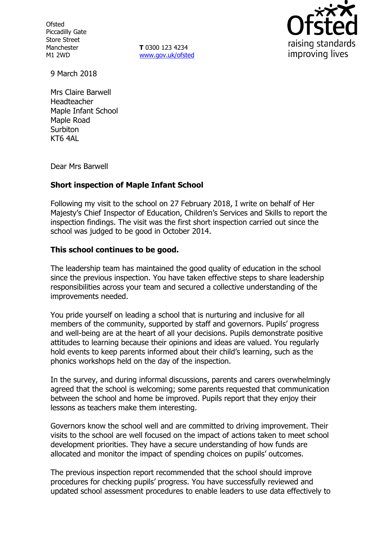**Ofsted** Piccadilly Gate Store Street Manchester M1 2WD

**T** 0300 123 4234 www.gov.uk/ofsted



9 March 2018

Mrs Claire Barwell Headteacher Maple Infant School Maple Road **Surbiton** KT6 4AL

Dear Mrs Barwell

# **Short inspection of Maple Infant School**

Following my visit to the school on 27 February 2018, I write on behalf of Her Majesty's Chief Inspector of Education, Children's Services and Skills to report the inspection findings. The visit was the first short inspection carried out since the school was judged to be good in October 2014.

#### **This school continues to be good.**

The leadership team has maintained the good quality of education in the school since the previous inspection. You have taken effective steps to share leadership responsibilities across your team and secured a collective understanding of the improvements needed.

You pride yourself on leading a school that is nurturing and inclusive for all members of the community, supported by staff and governors. Pupils' progress and well-being are at the heart of all your decisions. Pupils demonstrate positive attitudes to learning because their opinions and ideas are valued. You regularly hold events to keep parents informed about their child's learning, such as the phonics workshops held on the day of the inspection.

In the survey, and during informal discussions, parents and carers overwhelmingly agreed that the school is welcoming; some parents requested that communication between the school and home be improved. Pupils report that they enjoy their lessons as teachers make them interesting.

Governors know the school well and are committed to driving improvement. Their visits to the school are well focused on the impact of actions taken to meet school development priorities. They have a secure understanding of how funds are allocated and monitor the impact of spending choices on pupils' outcomes.

The previous inspection report recommended that the school should improve procedures for checking pupils' progress. You have successfully reviewed and updated school assessment procedures to enable leaders to use data effectively to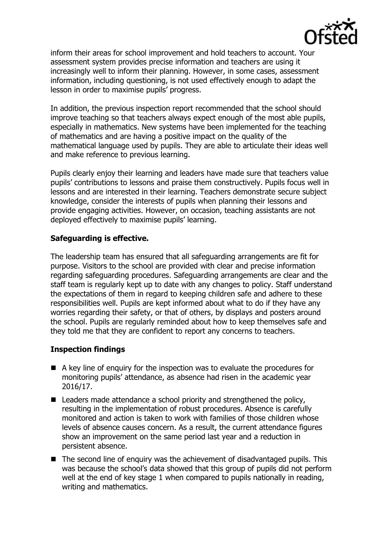

inform their areas for school improvement and hold teachers to account. Your assessment system provides precise information and teachers are using it increasingly well to inform their planning. However, in some cases, assessment information, including questioning, is not used effectively enough to adapt the lesson in order to maximise pupils' progress.

In addition, the previous inspection report recommended that the school should improve teaching so that teachers always expect enough of the most able pupils, especially in mathematics. New systems have been implemented for the teaching of mathematics and are having a positive impact on the quality of the mathematical language used by pupils. They are able to articulate their ideas well and make reference to previous learning.

Pupils clearly enjoy their learning and leaders have made sure that teachers value pupils' contributions to lessons and praise them constructively. Pupils focus well in lessons and are interested in their learning. Teachers demonstrate secure subject knowledge, consider the interests of pupils when planning their lessons and provide engaging activities. However, on occasion, teaching assistants are not deployed effectively to maximise pupils' learning.

### **Safeguarding is effective.**

The leadership team has ensured that all safeguarding arrangements are fit for purpose. Visitors to the school are provided with clear and precise information regarding safeguarding procedures. Safeguarding arrangements are clear and the staff team is regularly kept up to date with any changes to policy. Staff understand the expectations of them in regard to keeping children safe and adhere to these responsibilities well. Pupils are kept informed about what to do if they have any worries regarding their safety, or that of others, by displays and posters around the school. Pupils are regularly reminded about how to keep themselves safe and they told me that they are confident to report any concerns to teachers.

### **Inspection findings**

- A key line of enquiry for the inspection was to evaluate the procedures for monitoring pupils' attendance, as absence had risen in the academic year 2016/17.
- Leaders made attendance a school priority and strengthened the policy, resulting in the implementation of robust procedures. Absence is carefully monitored and action is taken to work with families of those children whose levels of absence causes concern. As a result, the current attendance figures show an improvement on the same period last year and a reduction in persistent absence.
- The second line of enquiry was the achievement of disadvantaged pupils. This was because the school's data showed that this group of pupils did not perform well at the end of key stage 1 when compared to pupils nationally in reading, writing and mathematics.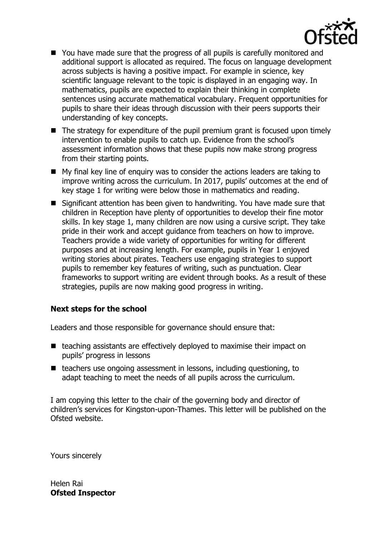

- You have made sure that the progress of all pupils is carefully monitored and additional support is allocated as required. The focus on language development across subjects is having a positive impact. For example in science, key scientific language relevant to the topic is displayed in an engaging way. In mathematics, pupils are expected to explain their thinking in complete sentences using accurate mathematical vocabulary. Frequent opportunities for pupils to share their ideas through discussion with their peers supports their understanding of key concepts.
- $\blacksquare$  The strategy for expenditure of the pupil premium grant is focused upon timely intervention to enable pupils to catch up. Evidence from the school's assessment information shows that these pupils now make strong progress from their starting points.
- My final key line of enquiry was to consider the actions leaders are taking to improve writing across the curriculum. In 2017, pupils' outcomes at the end of key stage 1 for writing were below those in mathematics and reading.
- Significant attention has been given to handwriting. You have made sure that children in Reception have plenty of opportunities to develop their fine motor skills. In key stage 1, many children are now using a cursive script. They take pride in their work and accept guidance from teachers on how to improve. Teachers provide a wide variety of opportunities for writing for different purposes and at increasing length. For example, pupils in Year 1 enjoyed writing stories about pirates. Teachers use engaging strategies to support pupils to remember key features of writing, such as punctuation. Clear frameworks to support writing are evident through books. As a result of these strategies, pupils are now making good progress in writing.

### **Next steps for the school**

Leaders and those responsible for governance should ensure that:

- $\blacksquare$  teaching assistants are effectively deployed to maximise their impact on pupils' progress in lessons
- $\blacksquare$  teachers use ongoing assessment in lessons, including questioning, to adapt teaching to meet the needs of all pupils across the curriculum.

I am copying this letter to the chair of the governing body and director of children's services for Kingston-upon-Thames. This letter will be published on the Ofsted website.

Yours sincerely

Helen Rai **Ofsted Inspector**